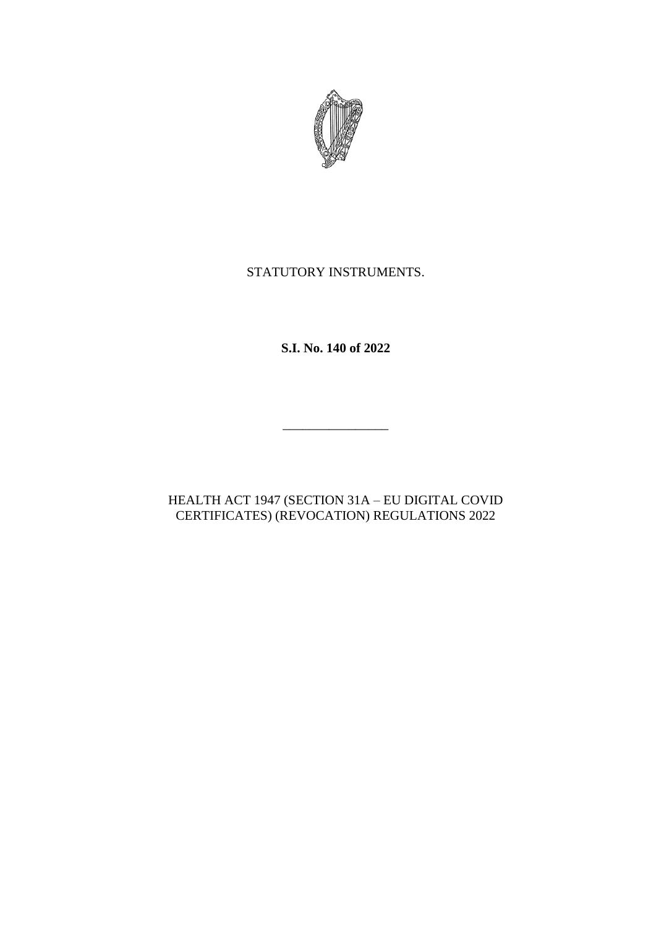

# STATUTORY INSTRUMENTS.

**S.I. No. 140 of 2022**

 $\overline{\phantom{a}}$  , where the contract of the contract of the contract of the contract of the contract of the contract of the contract of the contract of the contract of the contract of the contract of the contract of the contr

# HEALTH ACT 1947 (SECTION 31A – EU DIGITAL COVID CERTIFICATES) (REVOCATION) REGULATIONS 2022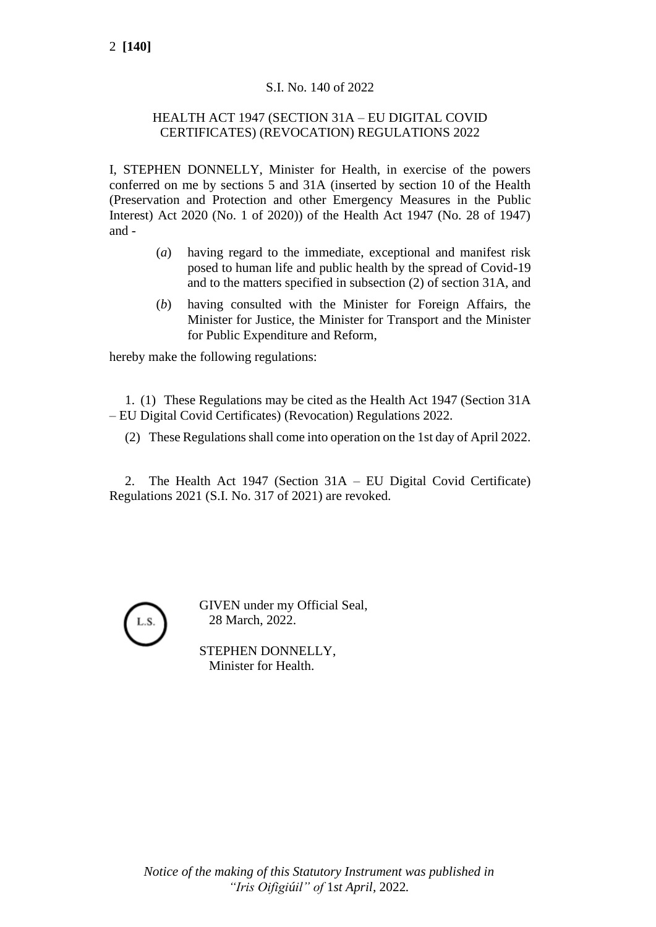## S.I. No. 140 of 2022

### HEALTH ACT 1947 (SECTION 31A – EU DIGITAL COVID CERTIFICATES) (REVOCATION) REGULATIONS 2022

I, STEPHEN DONNELLY, Minister for Health, in exercise of the powers conferred on me by sections 5 and 31A (inserted by section 10 of the Health (Preservation and Protection and other Emergency Measures in the Public Interest) Act 2020 (No. 1 of 2020)) of the Health Act 1947 (No. 28 of 1947) and -

- (*a*) having regard to the immediate, exceptional and manifest risk posed to human life and public health by the spread of Covid-19 and to the matters specified in subsection (2) of section 31A, and
- (*b*) having consulted with the Minister for Foreign Affairs, the Minister for Justice, the Minister for Transport and the Minister for Public Expenditure and Reform,

hereby make the following regulations:

1. (1) These Regulations may be cited as the Health Act 1947 (Section 31A – EU Digital Covid Certificates) (Revocation) Regulations 2022.

(2) These Regulations shall come into operation on the 1st day of April 2022.

2. The Health Act 1947 (Section 31A – EU Digital Covid Certificate) Regulations 2021 (S.I. No. 317 of 2021) are revoked.



GIVEN under my Official Seal, 28 March, 2022.

STEPHEN DONNELLY, Minister for Health.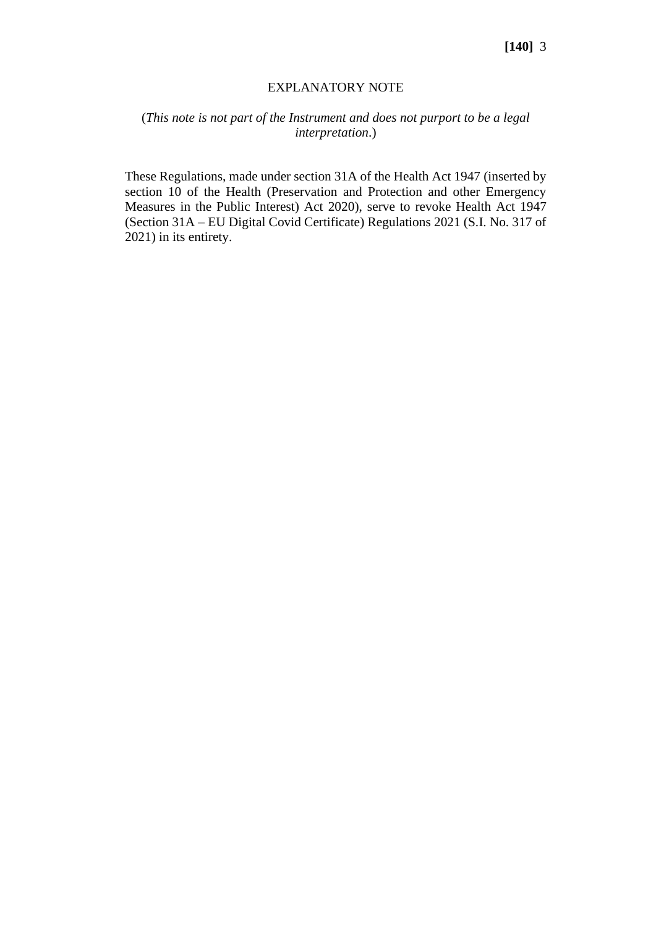#### EXPLANATORY NOTE

## (*This note is not part of the Instrument and does not purport to be a legal interpretation*.)

These Regulations, made under section 31A of the Health Act 1947 (inserted by section 10 of the Health (Preservation and Protection and other Emergency Measures in the Public Interest) Act 2020), serve to revoke Health Act 1947 (Section 31A – EU Digital Covid Certificate) Regulations 2021 (S.I. No. 317 of 2021) in its entirety.